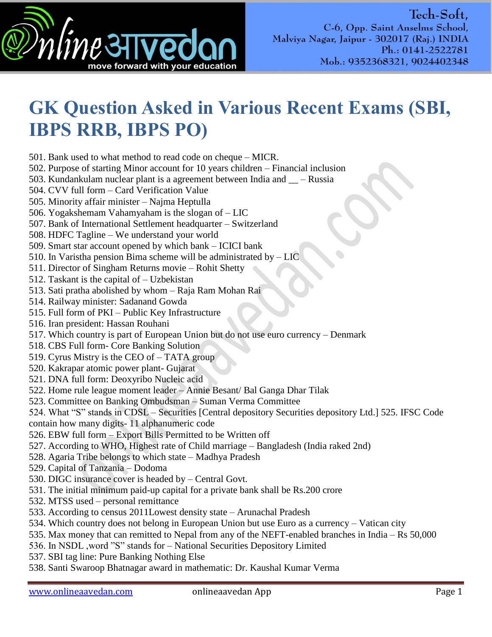

## **GK Question Asked in Various Recent Exams (SBI, IBPS RRB, IBPS PO)**

501. Bank used to what method to read code on cheque – MICR.

- 502. Purpose of starting Minor account for 10 years children Financial inclusion
- 503. Kundankulam nuclear plant is a agreement between India and  $\_\_$  Russia

504. CVV full form – Card Verification Value

505. Minority affair minister – Najma Heptulla

- 506. Yogakshemam Vahamyaham is the slogan of LIC
- 507. Bank of International Settlement headquarter Switzerland
- 508. HDFC Tagline We understand your world
- 509. Smart star account opened by which bank ICICI bank
- 510. In Varistha pension Bima scheme will be administrated by LIC
- 511. Director of Singham Returns movie Rohit Shetty
- 512. Taskant is the capital of Uzbekistan
- 513. Sati pratha abolished by whom Raja Ram Mohan Rai
- 514. Railway minister: Sadanand Gowda
- 515. Full form of PKI Public Key Infrastructure
- 516. Iran president: Hassan Rouhani
- 517. Which country is part of European Union but do not use euro currency Denmark
- 518. CBS Full form- Core Banking Solution
- 519. Cyrus Mistry is the CEO of TATA group
- 520. Kakrapar atomic power plant- Gujarat
- 521. DNA full form: Deoxyribo Nucleic acid
- 522. Home rule league moment leader Annie Besant/ Bal Ganga Dhar Tilak
- 523. Committee on Banking Ombudsman Suman Verma Committee
- 524. What "S" stands in CDSL Securities [Central depository Securities depository Ltd.] 525. IFSC Code
- contain how many digits- 11 alphanumeric code
- 526. EBW full form Export Bills Permitted to be Written off
- 527. According to WHO, Highest rate of Child marriage Bangladesh (India raked 2nd)
- 528. Agaria Tribe belongs to which state Madhya Pradesh
- 529. Capital of Tanzania Dodoma
- 530. DIGC insurance cover is headed by Central Govt.
- 531. The initial minimum paid-up capital for a private bank shall be Rs.200 crore
- 532. MTSS used personal remittance
- 533. According to census 2011Lowest density state Arunachal Pradesh
- 534. Which country does not belong in European Union but use Euro as a currency Vatican city
- 535. Max money that can remitted to Nepal from any of the NEFT-enabled branches in India Rs 50,000
- 536. In NSDL, word "S" stands for National Securities Depository Limited
- 537. SBI tag line: Pure Banking Nothing Else
- 538. Santi Swaroop Bhatnagar award in mathematic: Dr. Kaushal Kumar Verma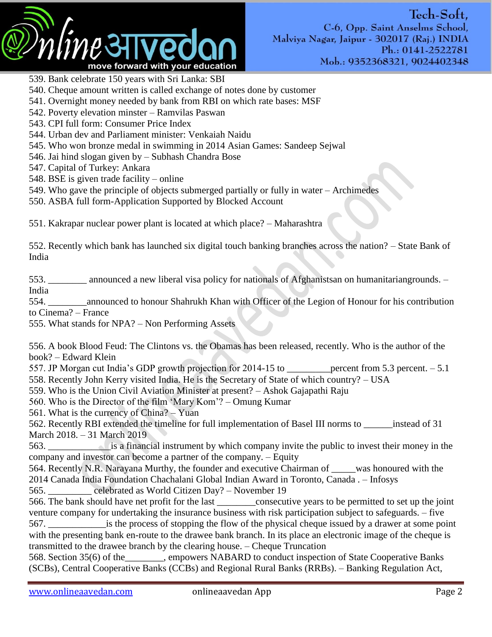

- 539. Bank celebrate 150 years with Sri Lanka: SBI
- 540. Cheque amount written is called exchange of notes done by customer
- 541. Overnight money needed by bank from RBI on which rate bases: MSF
- 542. Poverty elevation minster Ramvilas Paswan
- 543. CPI full form: Consumer Price Index
- 544. Urban dev and Parliament minister: Venkaiah Naidu
- 545. Who won bronze medal in swimming in 2014 Asian Games: Sandeep Sejwal
- 546. Jai hind slogan given by Subhash Chandra Bose
- 547. Capital of Turkey: Ankara
- 548. BSE is given trade facility online
- 549. Who gave the principle of objects submerged partially or fully in water Archimedes
- 550. ASBA full form-Application Supported by Blocked Account

551. Kakrapar nuclear power plant is located at which place? – Maharashtra

552. Recently which bank has launched six digital touch banking branches across the nation? – State Bank of India

553. \_\_\_\_\_\_\_\_ announced a new liberal visa policy for nationals of Afghanistsan on humanitariangrounds. – India

554. \_\_\_\_\_\_\_\_announced to honour Shahrukh Khan with Officer of the Legion of Honour for his contribution to Cinema? – France

555. What stands for NPA? – Non Performing Assets

556. A book Blood Feud: The Clintons vs. the Obamas has been released, recently. Who is the author of the book? – Edward Klein

557. JP Morgan cut India's GDP growth projection for 2014-15 to \_\_\_\_\_\_\_\_\_\_percent from 5.3 percent. – 5.1 558. Recently John Kerry visited India. He is the Secretary of State of which country? – USA

- 559. Who is the Union Civil Aviation Minister at present? Ashok Gajapathi Raju
- 560. Who is the Director of the film 'Mary Kom'? Omung Kumar
- 561. What is the currency of China? Yuan
- 562. Recently RBI extended the timeline for full implementation of Basel III norms to \_\_\_\_\_\_instead of 31 March 2018. – 31 March 2019

563. \_\_\_\_\_\_\_\_\_\_\_\_\_is a financial instrument by which company invite the public to invest their money in the company and investor can become a partner of the company. – Equity

564. Recently N.R. Narayana Murthy, the founder and executive Chairman of \_\_\_\_\_was honoured with the 2014 Canada India Foundation Chachalani Global Indian Award in Toronto, Canada . – Infosys

565. \_\_\_\_\_\_\_\_\_ celebrated as World Citizen Day? – November 19

566. The bank should have net profit for the last \_\_\_\_\_\_\_\_consecutive years to be permitted to set up the joint venture company for undertaking the insurance business with risk participation subject to safeguards. – five 567. \_\_\_\_\_\_\_\_\_\_\_\_is the process of stopping the flow of the physical cheque issued by a drawer at some point with the presenting bank en-route to the drawee bank branch. In its place an electronic image of the cheque is transmitted to the drawee branch by the clearing house. – Cheque Truncation

568. Section 35(6) of the\_\_\_\_\_\_\_\_, empowers NABARD to conduct inspection of State Cooperative Banks (SCBs), Central Cooperative Banks (CCBs) and Regional Rural Banks (RRBs). – Banking Regulation Act,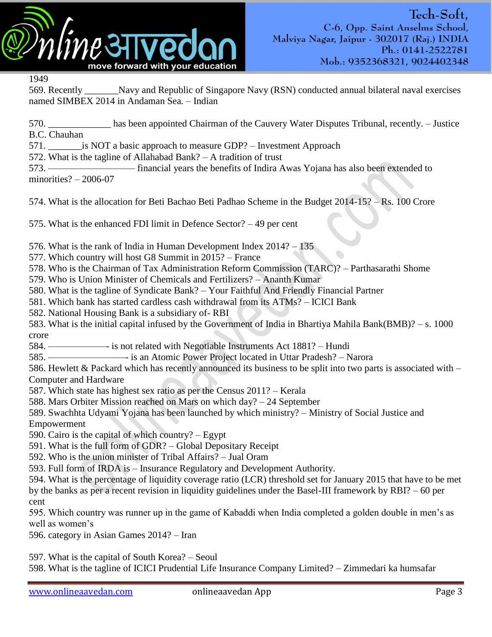

1949

569. Recently \_\_\_\_\_\_\_Navy and Republic of Singapore Navy (RSN) conducted annual bilateral naval exercises named SIMBEX 2014 in Andaman Sea. – Indian

570. \_\_\_\_\_\_\_\_\_\_\_\_\_ has been appointed Chairman of the Cauvery Water Disputes Tribunal, recently. – Justice B.C. Chauhan

571. **Example 31.** is NOT a basic approach to measure GDP? – Investment Approach

572. What is the tagline of Allahabad Bank? – A tradition of trust

573. ————————— financial years the benefits of Indira Awas Yojana has also been extended to minorities? – 2006-07

574. What is the allocation for Beti Bachao Beti Padhao Scheme in the Budget 2014-15? – Rs. 100 Crore

575. What is the enhanced FDI limit in Defence Sector? – 49 per cent

576. What is the rank of India in Human Development Index 2014? – 135

577. Which country will host G8 Summit in 2015? – France

578. Who is the Chairman of Tax Administration Reform Commission (TARC)? – Parthasarathi Shome

579. Who is Union Minister of Chemicals and Fertilizers? – Ananth Kumar

580. What is the tagline of Syndicate Bank? – Your Faithful And Friendly Financial Partner

581. Which bank has started cardless cash withdrawal from its ATMs? – ICICI Bank

582. National Housing Bank is a subsidiary of- RBI

583. What is the initial capital infused by the Government of India in Bhartiya Mahila Bank(BMB)? – s. 1000 crore

584. ——————- is not related with Negotiable Instruments Act 1881? – Hundi

585. ————————- is an Atomic Power Project located in Uttar Pradesh? – Narora

586. Hewlett & Packard which has recently announced its business to be split into two parts is associated with – Computer and Hardware

587. Which state has highest sex ratio as per the Census 2011? – Kerala

588. Mars Orbiter Mission reached on Mars on which day? – 24 September

589. Swachhta Udyami Yojana has been launched by which ministry? – Ministry of Social Justice and Empowerment

590. Cairo is the capital of which country? – Egypt

591. What is the full form of GDR? – Global Depositary Receipt

592. Who is the union minister of Tribal Affairs? – Jual Oram

593. Full form of IRDA is – Insurance Regulatory and Development Authority.

594. What is the percentage of liquidity coverage ratio (LCR) threshold set for January 2015 that have to be met by the banks as per a recent revision in liquidity guidelines under the Basel-III framework by RBI? – 60 per cent

595. Which country was runner up in the game of Kabaddi when India completed a golden double in men's as well as women's

596. category in Asian Games 2014? – Iran

597. What is the capital of South Korea? – Seoul

598. What is the tagline of ICICI Prudential Life Insurance Company Limited? – Zimmedari ka humsafar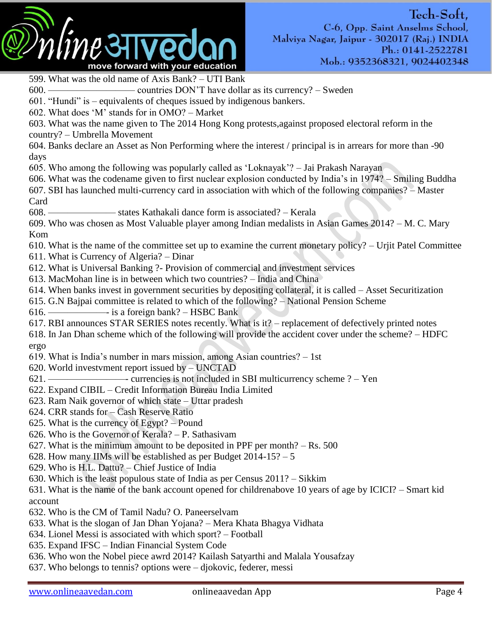

599. What was the old name of Axis Bank? – UTI Bank 600. ————————— countries DON'T have dollar as its currency? – Sweden 601. "Hundi" is – equivalents of cheques issued by indigenous bankers. 602. What does 'M' stands for in  $OMO? - Market$ 603. What was the name given to The 2014 Hong Kong protests,against proposed electoral reform in the country? – Umbrella Movement 604. Banks declare an Asset as Non Performing where the interest / principal is in arrears for more than -90 days 605. Who among the following was popularly called as ‗Loknayak'? – Jai Prakash Narayan 606. What was the codename given to first nuclear explosion conducted by India's in 1974? – Smiling Buddha 607. SBI has launched multi-currency card in association with which of the following companies? – Master Card 608. ——————— states Kathakali dance form is associated? – Kerala 609. Who was chosen as Most Valuable player among Indian medalists in Asian Games 2014? – M. C. Mary Kom 610. What is the name of the committee set up to examine the current monetary policy? – Urjit Patel Committee 611. What is Currency of Algeria? – Dinar 612. What is Universal Banking ?- Provision of commercial and investment services 613. MacMohan line is in between which two countries? – India and China 614. When banks invest in government securities by depositing collateral, it is called – Asset Securitization 615. G.N Bajpai committee is related to which of the following? – National Pension Scheme 616. ——————- is a foreign bank? – HSBC Bank 617. RBI announces STAR SERIES notes recently. What is it? – replacement of defectively printed notes 618. In Jan Dhan scheme which of the following will provide the accident cover under the scheme? – HDFC ergo 619. What is India's number in mars mission, among Asian countries? – 1st 620. World investvment report issued by – UNCTAD 621. ————————- currencies is not included in SBI multicurrency scheme ? – Yen 622. Expand CIBIL – Credit Information Bureau India Limited 623. Ram Naik governor of which state – Uttar pradesh 624. CRR stands for – Cash Reserve Ratio 625. What is the currency of Egypt? – Pound 626. Who is the Governor of Kerala? – P. Sathasivam 627. What is the minimum amount to be deposited in PPF per month? – Rs. 500 628. How many IIMs will be established as per Budget 2014-15? – 5 629. Who is H.L. Dattu? – Chief Justice of India 630. Which is the least populous state of India as per Census 2011? – Sikkim 631. What is the name of the bank account opened for childrenabove 10 years of age by ICICI? – Smart kid account 632. Who is the CM of Tamil Nadu? O. Paneerselvam 633. What is the slogan of Jan Dhan Yojana? – Mera Khata Bhagya Vidhata 634. Lionel Messi is associated with which sport? – Football 635. Expand IFSC – Indian Financial System Code 636. Who won the Nobel piece awrd 2014? Kailash Satyarthi and Malala Yousafzay

637. Who belongs to tennis? options were – djokovic, federer, messi